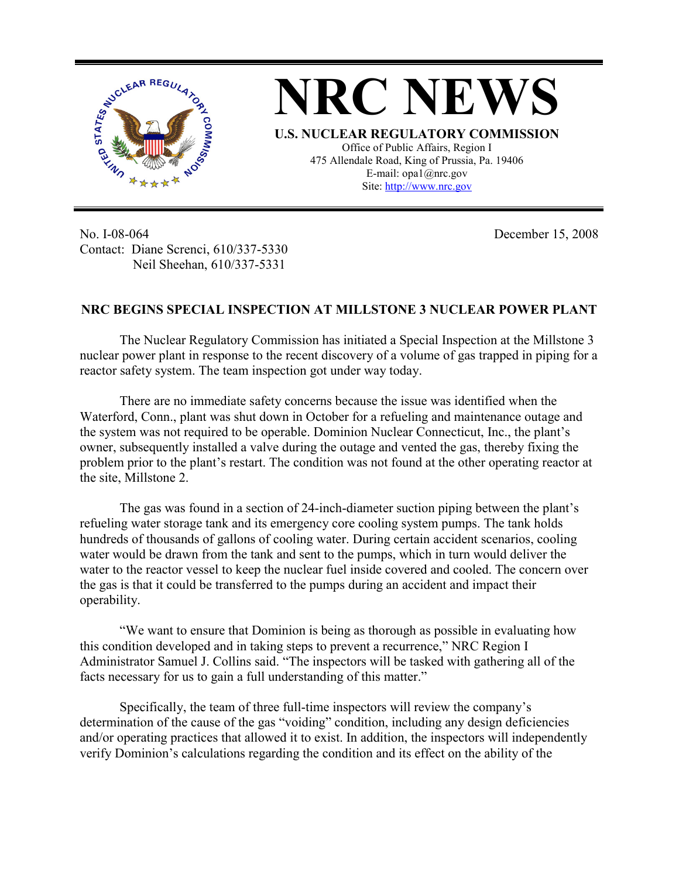

**NRC NEWS U.S. NUCLEAR REGULATORY COMMISSION** Office of Public Affairs, Region I 475 Allendale Road, King of Prussia, Pa. 19406 E-mail: opa1@nrc.gov Site: http://www.nrc.gov

No. I-08-064 Contact: Diane Screnci, 610/337-5330 Neil Sheehan, 610/337-5331

December 15, 2008

## **NRC BEGINS SPECIAL INSPECTION AT MILLSTONE 3 NUCLEAR POWER PLANT**

The Nuclear Regulatory Commission has initiated a Special Inspection at the Millstone 3 nuclear power plant in response to the recent discovery of a volume of gas trapped in piping for a reactor safety system. The team inspection got under way today.

There are no immediate safety concerns because the issue was identified when the Waterford, Conn., plant was shut down in October for a refueling and maintenance outage and the system was not required to be operable. Dominion Nuclear Connecticut, Inc., the plant's owner, subsequently installed a valve during the outage and vented the gas, thereby fixing the problem prior to the plant's restart. The condition was not found at the other operating reactor at the site, Millstone 2.

The gas was found in a section of 24-inch-diameter suction piping between the plant's refueling water storage tank and its emergency core cooling system pumps. The tank holds hundreds of thousands of gallons of cooling water. During certain accident scenarios, cooling water would be drawn from the tank and sent to the pumps, which in turn would deliver the water to the reactor vessel to keep the nuclear fuel inside covered and cooled. The concern over the gas is that it could be transferred to the pumps during an accident and impact their operability.

 "We want to ensure that Dominion is being as thorough as possible in evaluating how this condition developed and in taking steps to prevent a recurrence," NRC Region I Administrator Samuel J. Collins said. "The inspectors will be tasked with gathering all of the facts necessary for us to gain a full understanding of this matter."

 Specifically, the team of three full-time inspectors will review the company's determination of the cause of the gas "voiding" condition, including any design deficiencies and/or operating practices that allowed it to exist. In addition, the inspectors will independently verify Dominion's calculations regarding the condition and its effect on the ability of the